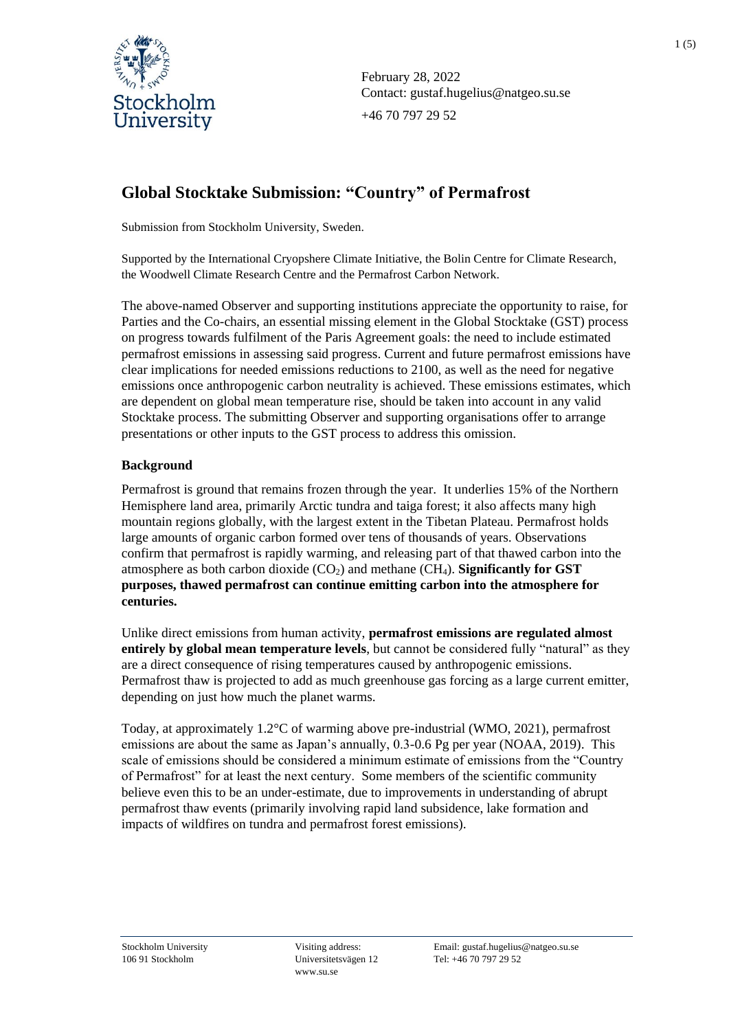

February 28, 2022 Contact: gustaf.hugelius@natgeo.su.se +46 70 797 29 52

# **Global Stocktake Submission: "Country" of Permafrost**

Submission from Stockholm University, Sweden.

Supported by the International Cryopshere Climate Initiative, the Bolin Centre for Climate Research, the Woodwell Climate Research Centre and the Permafrost Carbon Network.

The above-named Observer and supporting institutions appreciate the opportunity to raise, for Parties and the Co-chairs, an essential missing element in the Global Stocktake (GST) process on progress towards fulfilment of the Paris Agreement goals: the need to include estimated permafrost emissions in assessing said progress. Current and future permafrost emissions have clear implications for needed emissions reductions to 2100, as well as the need for negative emissions once anthropogenic carbon neutrality is achieved. These emissions estimates, which are dependent on global mean temperature rise, should be taken into account in any valid Stocktake process. The submitting Observer and supporting organisations offer to arrange presentations or other inputs to the GST process to address this omission.

## **Background**

Permafrost is ground that remains frozen through the year. It underlies 15% of the Northern Hemisphere land area, primarily Arctic tundra and taiga forest; it also affects many high mountain regions globally, with the largest extent in the Tibetan Plateau. Permafrost holds large amounts of organic carbon formed over tens of thousands of years. Observations confirm that permafrost is rapidly warming, and releasing part of that thawed carbon into the atmosphere as both carbon dioxide  $(CO_2)$  and methane  $CH_4$ ). **Significantly for GST purposes, thawed permafrost can continue emitting carbon into the atmosphere for centuries.**

Unlike direct emissions from human activity, **permafrost emissions are regulated almost entirely by global mean temperature levels**, but cannot be considered fully "natural" as they are a direct consequence of rising temperatures caused by anthropogenic emissions. Permafrost thaw is projected to add as much greenhouse gas forcing as a large current emitter, depending on just how much the planet warms.

Today, at approximately 1.2°C of warming above pre-industrial (WMO, 2021), permafrost emissions are about the same as Japan's annually, 0.3-0.6 Pg per year (NOAA, 2019). This scale of emissions should be considered a minimum estimate of emissions from the "Country of Permafrost" for at least the next century. Some members of the scientific community believe even this to be an under-estimate, due to improvements in understanding of abrupt permafrost thaw events (primarily involving rapid land subsidence, lake formation and impacts of wildfires on tundra and permafrost forest emissions).

www.su.se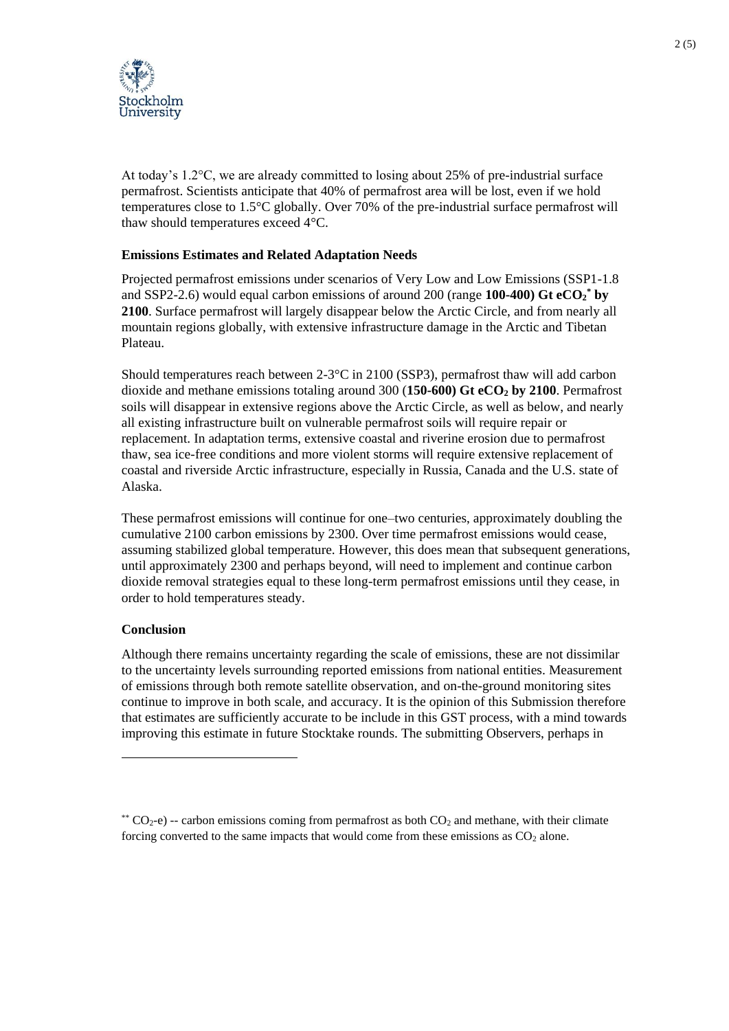

At today's 1.2°C, we are already committed to losing about 25% of pre-industrial surface permafrost. Scientists anticipate that 40% of permafrost area will be lost, even if we hold temperatures close to 1.5°C globally. Over 70% of the pre-industrial surface permafrost will thaw should temperatures exceed 4°C.

## **Emissions Estimates and Related Adaptation Needs**

Projected permafrost emissions under scenarios of Very Low and Low Emissions (SSP1-1.8 and SSP2-2.6) would equal carbon emissions of around 200 (range **100-400) Gt eCO<sup>2</sup> \* by 2100**. Surface permafrost will largely disappear below the Arctic Circle, and from nearly all mountain regions globally, with extensive infrastructure damage in the Arctic and Tibetan Plateau.

Should temperatures reach between 2-3°C in 2100 (SSP3), permafrost thaw will add carbon dioxide and methane emissions totaling around 300 (**150-600) Gt eCO<sup>2</sup> by 2100**. Permafrost soils will disappear in extensive regions above the Arctic Circle, as well as below, and nearly all existing infrastructure built on vulnerable permafrost soils will require repair or replacement. In adaptation terms, extensive coastal and riverine erosion due to permafrost thaw, sea ice-free conditions and more violent storms will require extensive replacement of coastal and riverside Arctic infrastructure, especially in Russia, Canada and the U.S. state of Alaska.

These permafrost emissions will continue for one–two centuries, approximately doubling the cumulative 2100 carbon emissions by 2300. Over time permafrost emissions would cease, assuming stabilized global temperature. However, this does mean that subsequent generations, until approximately 2300 and perhaps beyond, will need to implement and continue carbon dioxide removal strategies equal to these long-term permafrost emissions until they cease, in order to hold temperatures steady.

### **Conclusion**

l

Although there remains uncertainty regarding the scale of emissions, these are not dissimilar to the uncertainty levels surrounding reported emissions from national entities. Measurement of emissions through both remote satellite observation, and on-the-ground monitoring sites continue to improve in both scale, and accuracy. It is the opinion of this Submission therefore that estimates are sufficiently accurate to be include in this GST process, with a mind towards improving this estimate in future Stocktake rounds. The submitting Observers, perhaps in

<sup>\*\*</sup>  $CO<sub>2</sub>$ -e) -- carbon emissions coming from permafrost as both  $CO<sub>2</sub>$  and methane, with their climate forcing converted to the same impacts that would come from these emissions as  $CO<sub>2</sub>$  alone.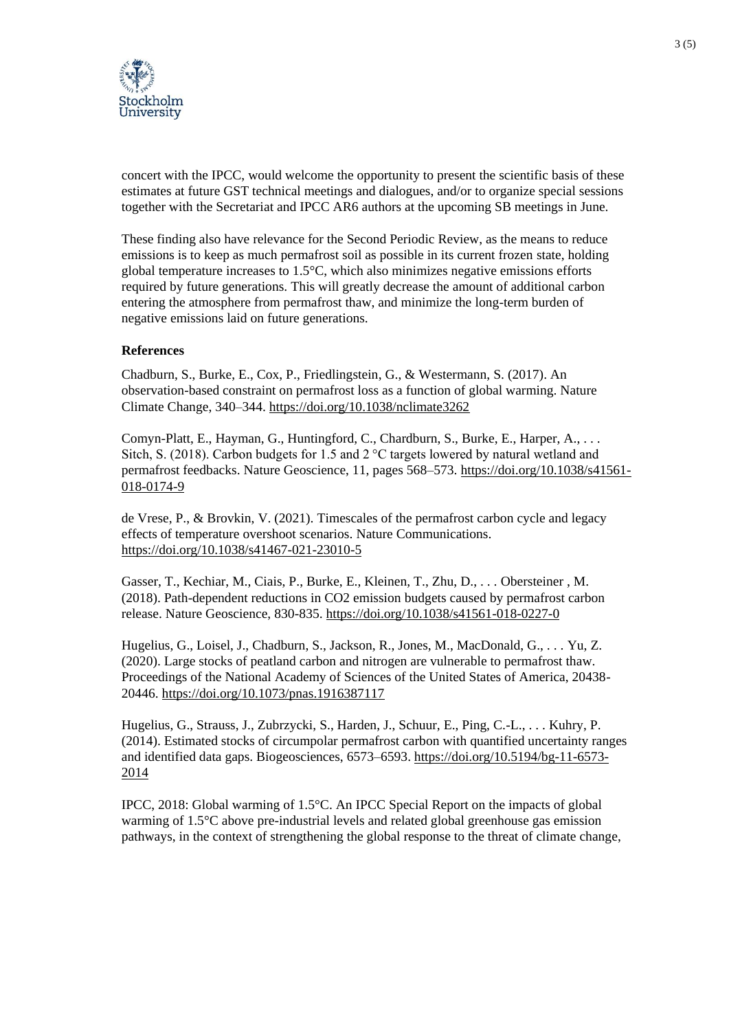

concert with the IPCC, would welcome the opportunity to present the scientific basis of these estimates at future GST technical meetings and dialogues, and/or to organize special sessions together with the Secretariat and IPCC AR6 authors at the upcoming SB meetings in June.

These finding also have relevance for the Second Periodic Review, as the means to reduce emissions is to keep as much permafrost soil as possible in its current frozen state, holding global temperature increases to  $1.5^{\circ}$ C, which also minimizes negative emissions efforts required by future generations. This will greatly decrease the amount of additional carbon entering the atmosphere from permafrost thaw, and minimize the long-term burden of negative emissions laid on future generations.

### **References**

Chadburn, S., Burke, E., Cox, P., Friedlingstein, G., & Westermann, S. (2017). An observation-based constraint on permafrost loss as a function of global warming. Nature Climate Change, 340–344.<https://doi.org/10.1038/nclimate3262>

Comyn-Platt, E., Hayman, G., Huntingford, C., Chardburn, S., Burke, E., Harper, A., . . . Sitch, S. (2018). Carbon budgets for 1.5 and 2 °C targets lowered by natural wetland and permafrost feedbacks. Nature Geoscience, 11, pages 568–573. [https://doi.org/10.1038/s41561-](https://doi.org/10.1038/s41561-018-0174-9) [018-0174-9](https://doi.org/10.1038/s41561-018-0174-9)

de Vrese, P., & Brovkin, V. (2021). Timescales of the permafrost carbon cycle and legacy effects of temperature overshoot scenarios. Nature Communications. <https://doi.org/10.1038/s41467-021-23010-5>

Gasser, T., Kechiar, M., Ciais, P., Burke, E., Kleinen, T., Zhu, D., . . . Obersteiner , M. (2018). Path-dependent reductions in CO2 emission budgets caused by permafrost carbon release. Nature Geoscience, 830-835.<https://doi.org/10.1038/s41561-018-0227-0>

Hugelius, G., Loisel, J., Chadburn, S., Jackson, R., Jones, M., MacDonald, G., . . . Yu, Z. (2020). Large stocks of peatland carbon and nitrogen are vulnerable to permafrost thaw. Proceedings of the National Academy of Sciences of the United States of America, 20438- 20446.<https://doi.org/10.1073/pnas.1916387117>

Hugelius, G., Strauss, J., Zubrzycki, S., Harden, J., Schuur, E., Ping, C.-L., . . . Kuhry, P. (2014). Estimated stocks of circumpolar permafrost carbon with quantified uncertainty ranges and identified data gaps. Biogeosciences, 6573–6593. [https://doi.org/10.5194/bg-11-6573-](https://doi.org/10.5194/bg-11-6573-2014) [2014](https://doi.org/10.5194/bg-11-6573-2014)

IPCC, 2018: Global warming of 1.5°C. An IPCC Special Report on the impacts of global warming of 1.5°C above pre-industrial levels and related global greenhouse gas emission pathways, in the context of strengthening the global response to the threat of climate change,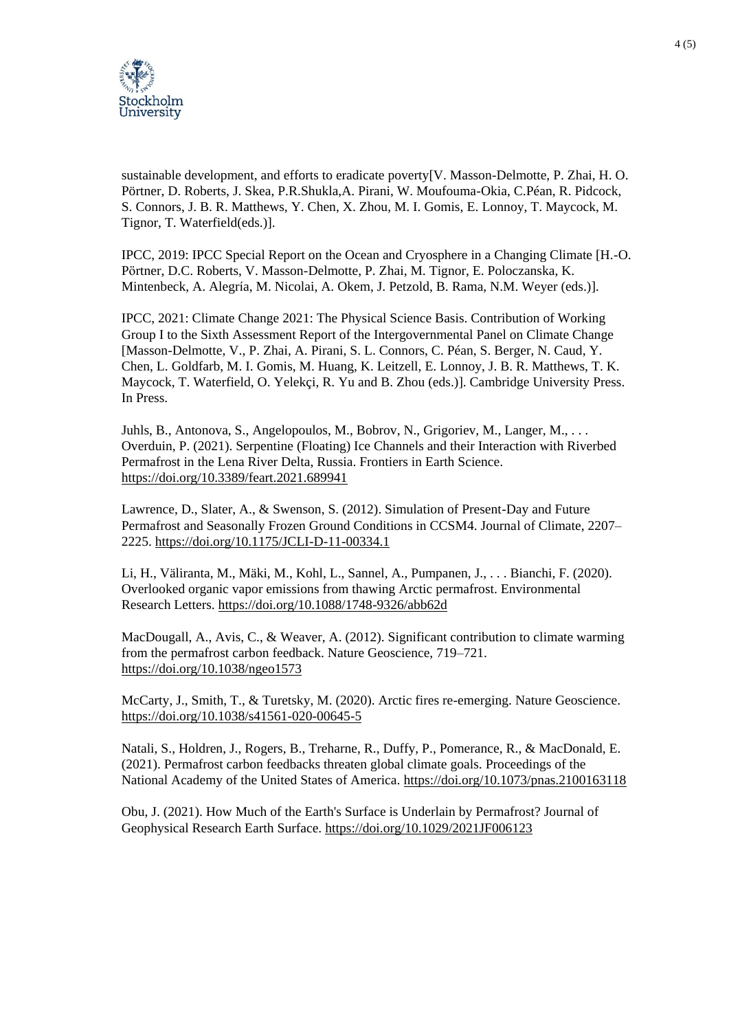

sustainable development, and efforts to eradicate poverty[V. Masson-Delmotte, P. Zhai, H. O. Pörtner, D. Roberts, J. Skea, P.R.Shukla,A. Pirani, W. Moufouma-Okia, C.Péan, R. Pidcock, S. Connors, J. B. R. Matthews, Y. Chen, X. Zhou, M. I. Gomis, E. Lonnoy, T. Maycock, M. Tignor, T. Waterfield(eds.)].

IPCC, 2019: IPCC Special Report on the Ocean and Cryosphere in a Changing Climate [H.-O. Pörtner, D.C. Roberts, V. Masson-Delmotte, P. Zhai, M. Tignor, E. Poloczanska, K. Mintenbeck, A. Alegría, M. Nicolai, A. Okem, J. Petzold, B. Rama, N.M. Weyer (eds.)].

IPCC, 2021: Climate Change 2021: The Physical Science Basis. Contribution of Working Group I to the Sixth Assessment Report of the Intergovernmental Panel on Climate Change [Masson-Delmotte, V., P. Zhai, A. Pirani, S. L. Connors, C. Péan, S. Berger, N. Caud, Y. Chen, L. Goldfarb, M. I. Gomis, M. Huang, K. Leitzell, E. Lonnoy, J. B. R. Matthews, T. K. Maycock, T. Waterfield, O. Yelekçi, R. Yu and B. Zhou (eds.)]. Cambridge University Press. In Press.

Juhls, B., Antonova, S., Angelopoulos, M., Bobrov, N., Grigoriev, M., Langer, M., . . . Overduin, P. (2021). Serpentine (Floating) Ice Channels and their Interaction with Riverbed Permafrost in the Lena River Delta, Russia. Frontiers in Earth Science. <https://doi.org/10.3389/feart.2021.689941>

Lawrence, D., Slater, A., & Swenson, S. (2012). Simulation of Present-Day and Future Permafrost and Seasonally Frozen Ground Conditions in CCSM4. Journal of Climate, 2207– 2225[. https://doi.org/10.1175/JCLI-D-11-00334.1](https://doi.org/10.1175/JCLI-D-11-00334.1)

Li, H., Väliranta, M., Mäki, M., Kohl, L., Sannel, A., Pumpanen, J., . . . Bianchi, F. (2020). Overlooked organic vapor emissions from thawing Arctic permafrost. Environmental Research Letters.<https://doi.org/10.1088/1748-9326/abb62d>

MacDougall, A., Avis, C., & Weaver, A. (2012). Significant contribution to climate warming from the permafrost carbon feedback. Nature Geoscience, 719–721. <https://doi.org/10.1038/ngeo1573>

McCarty, J., Smith, T., & Turetsky, M. (2020). Arctic fires re-emerging. Nature Geoscience. <https://doi.org/10.1038/s41561-020-00645-5>

Natali, S., Holdren, J., Rogers, B., Treharne, R., Duffy, P., Pomerance, R., & MacDonald, E. (2021). Permafrost carbon feedbacks threaten global climate goals. Proceedings of the National Academy of the United States of America.<https://doi.org/10.1073/pnas.2100163118>

Obu, J. (2021). How Much of the Earth's Surface is Underlain by Permafrost? Journal of Geophysical Research Earth Surface.<https://doi.org/10.1029/2021JF006123>